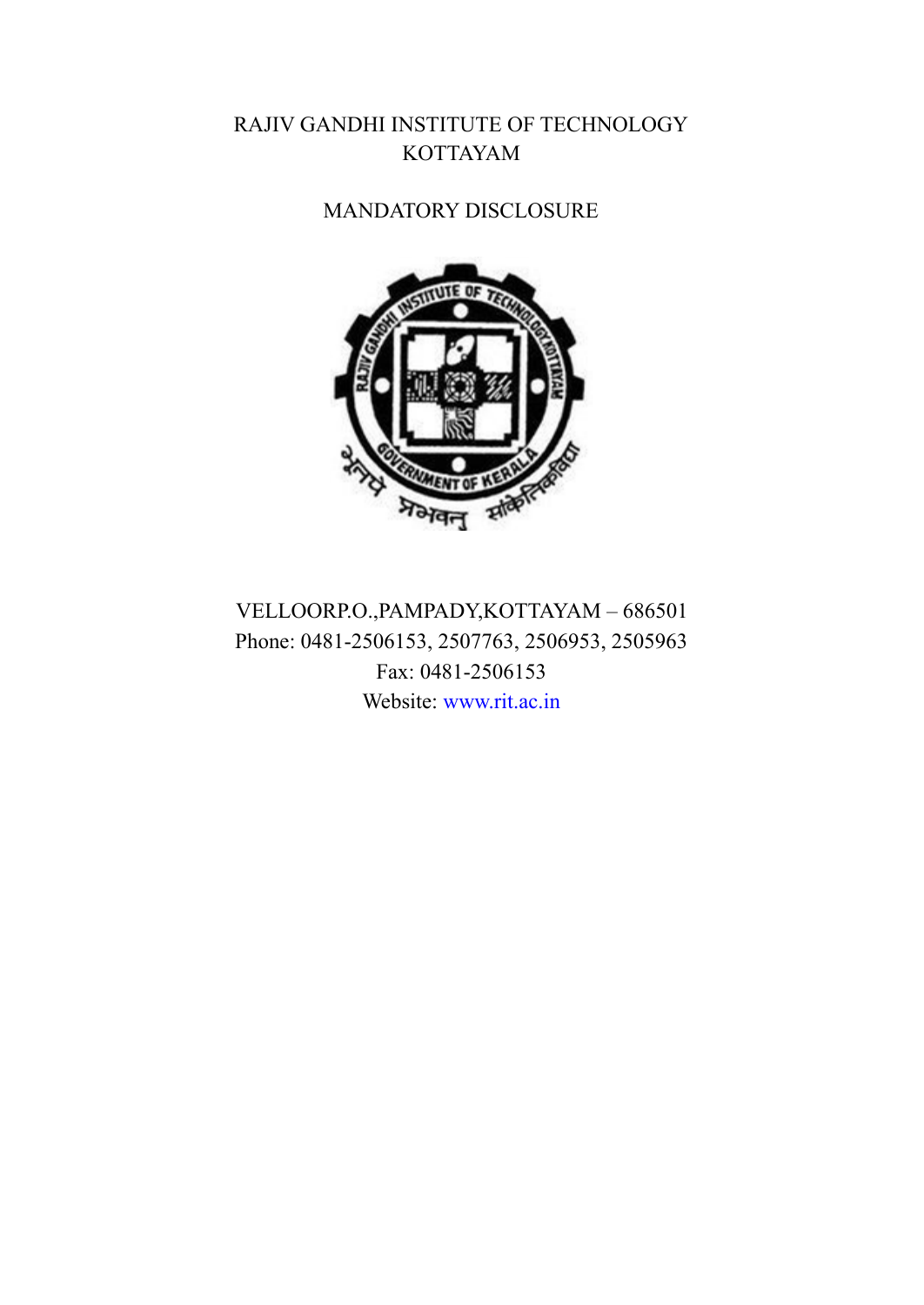## RAJIV GANDHI INSTITUTE OF TECHNOLOGY KOTTAYAM

## MANDATORY DISCLOSURE



VELLOORP.O.,PAMPADY,KOTTAYAM – 686501 Phone: 0481-2506153, 2507763, 2506953, 2505963 Fax: 0481-2506153 Website: [www.rit.ac.in](http://www.rit.ac.in/)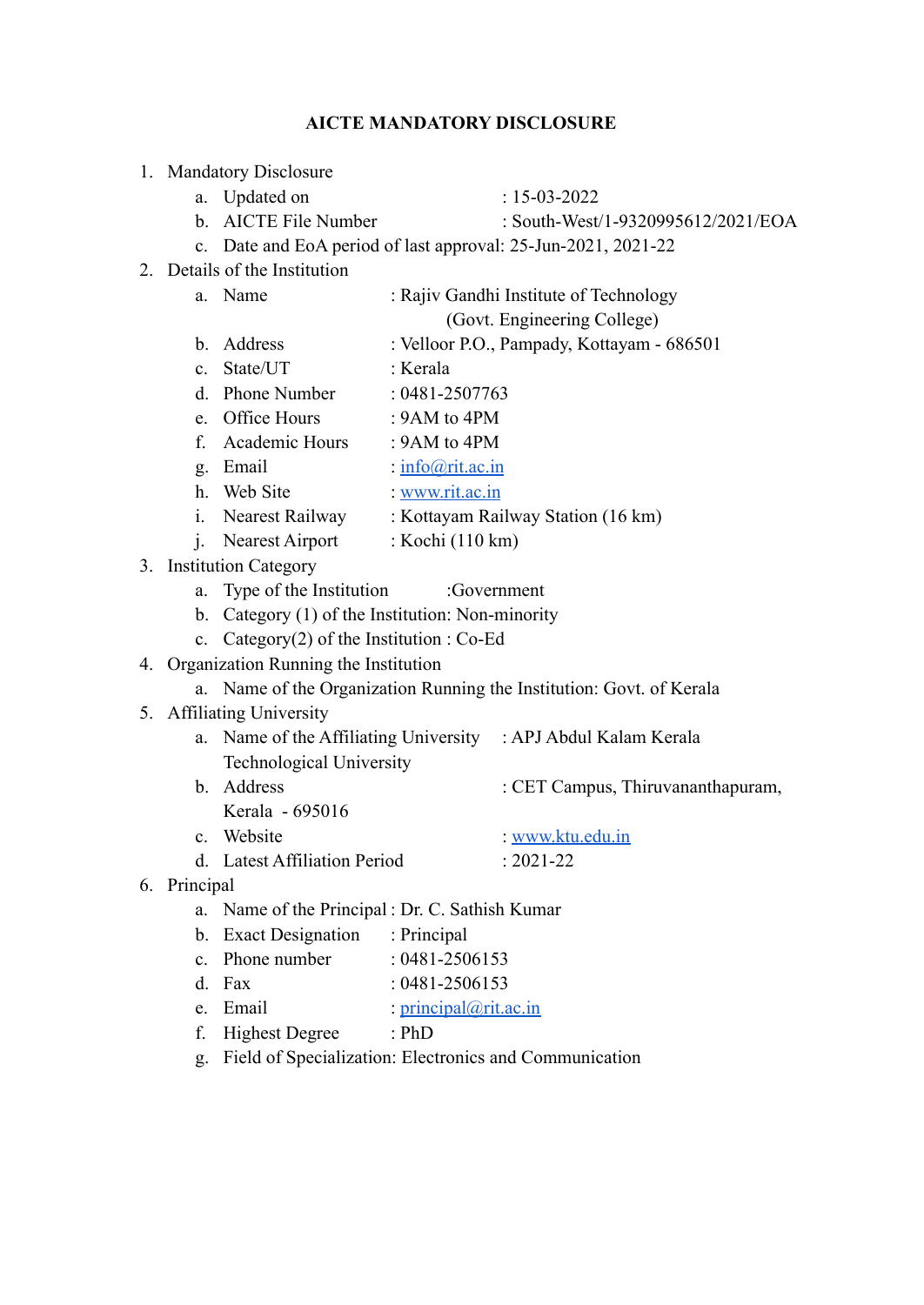#### **AICTE MANDATORY DISCLOSURE**

- 1. Mandatory Disclosure
	-
	- a. Updated on : 15-03-2022
	- b. AICTE File Number : South-West/1-9320995612/2021/EOA
	- c. Date and EoA period of last approval: 25-Jun-2021, 2021-22
- 2. Details of the Institution
	- a. Name : Rajiv Gandhi Institute of Technology
		- (Govt. Engineering College)
	- b. Address : Velloor P.O., Pampady, Kottayam 686501
	- c. State/UT · Kerala
	- d. Phone Number : 0481-2507763
	- e. Office Hours : 9AM to 4PM
	- f. Academic Hours : 9AM to 4PM
	- g. Email : [info@rit.ac.in](mailto:info@rit.ac.in)
	- h. Web Site : [www.rit.ac.in](http://www.rit.ac.in)
	- i. Nearest Railway : Kottayam Railway Station (16 km)
	- j. Nearest Airport : Kochi (110 km)
- 3. Institution Category
	- a. Type of the Institution : Government
	- b. Category (1) of the Institution: Non-minority
	- c. Category(2) of the Institution : Co-Ed
- 4. Organization Running the Institution
	- a. Name of the Organization Running the Institution: Govt. of Kerala
- 5. Affiliating University
	- a. Name of the Affiliating University : APJ Abdul Kalam Kerala Technological University
	- b. Address : CET Campus, Thiruvananthapuram, Kerala - 695016
	- c. Website : [www.ktu.edu.in](http://www.ktu.edu.in)
	- d. Latest Affiliation Period : 2021-22
- 6. Principal
	- a. Name of the Principal : Dr. C. Sathish Kumar
	- b. Exact Designation : Principal
	- c. Phone number : 0481-2506153
	- d. Fax : 0481-2506153
	- e. Email :  $principal@rit.ac.in$
	- f. Highest Degree : PhD
	- g. Field of Specialization: Electronics and Communication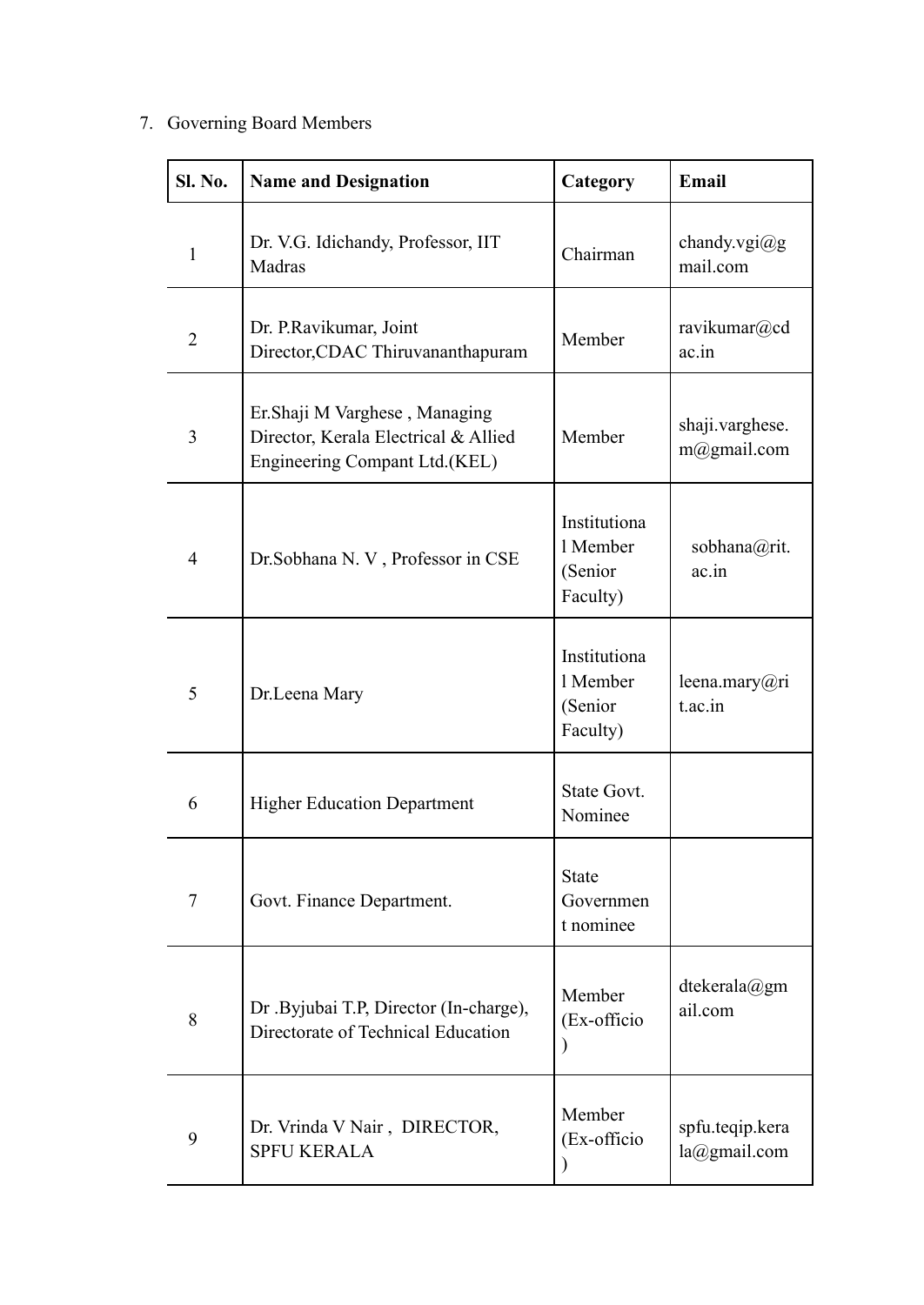# 7. Governing Board Members

| <b>Sl. No.</b> | <b>Name and Designation</b>                                                                             | Category                                        | Email                               |  |
|----------------|---------------------------------------------------------------------------------------------------------|-------------------------------------------------|-------------------------------------|--|
| 1              | Dr. V.G. Idichandy, Professor, IIT<br>Madras                                                            | Chairman                                        | chandy.vgi $(a)$ g<br>mail.com      |  |
| 2              | Dr. P.Ravikumar, Joint<br>Director, CDAC Thiruvananthapuram                                             | Member                                          | ravikumar@cd<br>ac.in               |  |
| 3              | Er. Shaji M Varghese, Managing<br>Director, Kerala Electrical & Allied<br>Engineering Compant Ltd.(KEL) | Member                                          | shaji.varghese.<br>$m(a)$ gmail.com |  |
| $\overline{4}$ | Dr.Sobhana N. V, Professor in CSE                                                                       | Institutiona<br>1 Member<br>(Senior<br>Faculty) | sobhana@rit.<br>ac.in               |  |
| 5              | Dr.Leena Mary                                                                                           | Institutiona<br>1 Member<br>(Senior<br>Faculty) | leena.mary@ri<br>t.ac.in            |  |
| 6              | <b>Higher Education Department</b>                                                                      | State Govt.<br>Nominee                          |                                     |  |
| 7              | Govt. Finance Department.                                                                               | <b>State</b><br>Governmen<br>t nominee          |                                     |  |
| 8              | Dr .Byjubai T.P, Director (In-charge),<br>Directorate of Technical Education                            | Member<br>(Ex-officio                           | dtekerala@gm<br>ail.com             |  |
| 9              | Dr. Vrinda V Nair, DIRECTOR,<br><b>SPFU KERALA</b>                                                      | Member<br>(Ex-officio                           | spfu.teqip.kera<br>la@gmail.com     |  |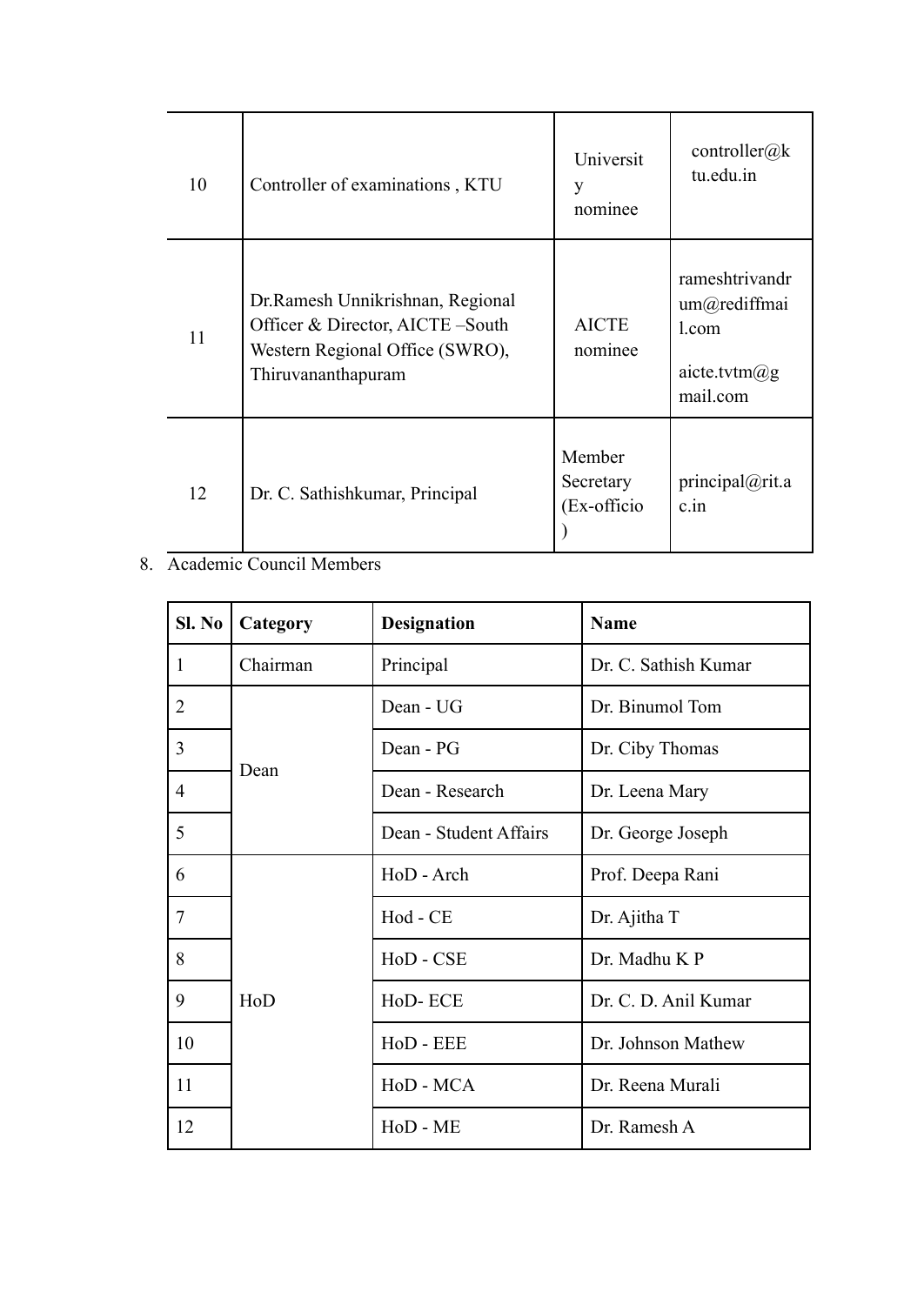| 10 | Controller of examinations, KTU                                                                                               | Universit<br>y<br>nominee           | controller@ $k$<br>tu.edu.in                                              |
|----|-------------------------------------------------------------------------------------------------------------------------------|-------------------------------------|---------------------------------------------------------------------------|
| 11 | Dr. Ramesh Unnikrishnan, Regional<br>Officer & Director, AICTE-South<br>Western Regional Office (SWRO),<br>Thiruvananthapuram | <b>AICTE</b><br>nominee             | rameshtrivandr<br>um@rediffmai<br>1.com<br>aicte.tvtm $(a)$ g<br>mail.com |
| 12 | Dr. C. Sathishkumar, Principal                                                                                                | Member<br>Secretary<br>(Ex-officio) | principal@rit.a<br>c.in                                                   |

### 8. Academic Council Members

| Sl. No         | Category | <b>Designation</b>     | <b>Name</b>          |
|----------------|----------|------------------------|----------------------|
| 1              | Chairman | Principal              | Dr. C. Sathish Kumar |
| $\overline{2}$ |          | Dean - UG              | Dr. Binumol Tom      |
| 3              | Dean     | Dean - PG              | Dr. Ciby Thomas      |
| $\overline{4}$ |          | Dean - Research        | Dr. Leena Mary       |
| 5              |          | Dean - Student Affairs | Dr. George Joseph    |
| 6              |          | HoD - Arch             | Prof. Deepa Rani     |
| $\overline{7}$ | HoD      | Hod - CE               | Dr. Ajitha T         |
| 8              |          | HoD - CSE              | Dr. Madhu K P        |
| 9              |          | HoD-ECE                | Dr. C. D. Anil Kumar |
| 10             |          | HoD - EEE              | Dr. Johnson Mathew   |
| 11             |          | HoD - MCA              | Dr. Reena Murali     |
| 12             |          | HoD - ME               | Dr. Ramesh A         |